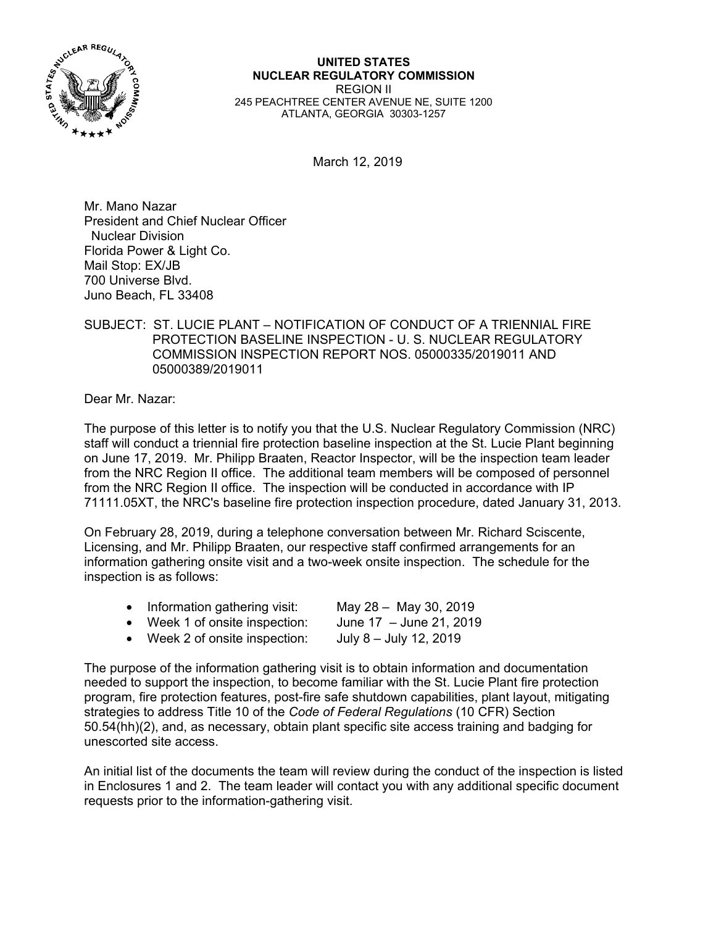

**UNITED STATES NUCLEAR REGULATORY COMMISSION**  REGION II 245 PEACHTREE CENTER AVENUE NE, SUITE 1200 ATLANTA, GEORGIA 30303-1257

March 12, 2019

Mr. Mano Nazar President and Chief Nuclear Officer Nuclear Division Florida Power & Light Co. Mail Stop: EX/JB 700 Universe Blvd. Juno Beach, FL 33408

## SUBJECT: ST. LUCIE PLANT – NOTIFICATION OF CONDUCT OF A TRIENNIAL FIRE PROTECTION BASELINE INSPECTION - U. S. NUCLEAR REGULATORY COMMISSION INSPECTION REPORT NOS. 05000335/2019011 AND 05000389/2019011

Dear Mr. Nazar:

The purpose of this letter is to notify you that the U.S. Nuclear Regulatory Commission (NRC) staff will conduct a triennial fire protection baseline inspection at the St. Lucie Plant beginning on June 17, 2019. Mr. Philipp Braaten, Reactor Inspector, will be the inspection team leader from the NRC Region II office. The additional team members will be composed of personnel from the NRC Region II office. The inspection will be conducted in accordance with IP 71111.05XT, the NRC's baseline fire protection inspection procedure, dated January 31, 2013.

On February 28, 2019, during a telephone conversation between Mr. Richard Sciscente, Licensing, and Mr. Philipp Braaten, our respective staff confirmed arrangements for an information gathering onsite visit and a two-week onsite inspection. The schedule for the inspection is as follows:

| Information gathering visit: | May 28 - May 30, 2019 |
|------------------------------|-----------------------|
|                              |                       |

- Week 1 of onsite inspection: June 17 June 21, 2019
- Week 2 of onsite inspection: July 8 July 12, 2019

The purpose of the information gathering visit is to obtain information and documentation needed to support the inspection, to become familiar with the St. Lucie Plant fire protection program, fire protection features, post-fire safe shutdown capabilities, plant layout, mitigating strategies to address Title 10 of the *Code of Federal Regulations* (10 CFR) Section 50.54(hh)(2), and, as necessary, obtain plant specific site access training and badging for unescorted site access.

An initial list of the documents the team will review during the conduct of the inspection is listed in Enclosures 1 and 2. The team leader will contact you with any additional specific document requests prior to the information-gathering visit.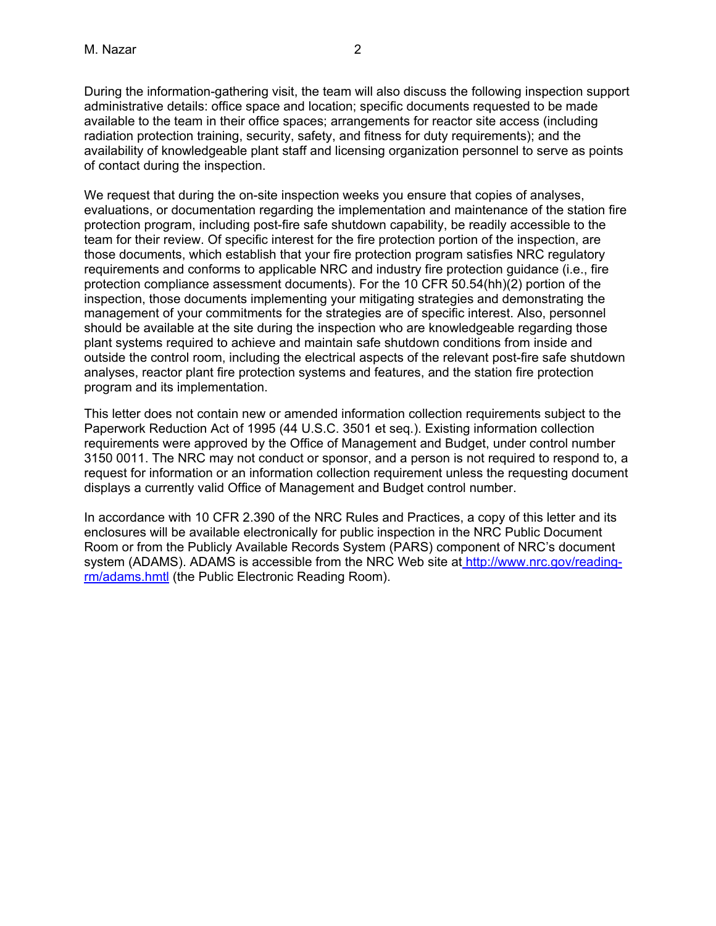During the information-gathering visit, the team will also discuss the following inspection support administrative details: office space and location; specific documents requested to be made available to the team in their office spaces; arrangements for reactor site access (including radiation protection training, security, safety, and fitness for duty requirements); and the availability of knowledgeable plant staff and licensing organization personnel to serve as points of contact during the inspection.

We request that during the on-site inspection weeks you ensure that copies of analyses, evaluations, or documentation regarding the implementation and maintenance of the station fire protection program, including post-fire safe shutdown capability, be readily accessible to the team for their review. Of specific interest for the fire protection portion of the inspection, are those documents, which establish that your fire protection program satisfies NRC regulatory requirements and conforms to applicable NRC and industry fire protection guidance (i.e., fire protection compliance assessment documents). For the 10 CFR 50.54(hh)(2) portion of the inspection, those documents implementing your mitigating strategies and demonstrating the management of your commitments for the strategies are of specific interest. Also, personnel should be available at the site during the inspection who are knowledgeable regarding those plant systems required to achieve and maintain safe shutdown conditions from inside and outside the control room, including the electrical aspects of the relevant post-fire safe shutdown analyses, reactor plant fire protection systems and features, and the station fire protection program and its implementation.

This letter does not contain new or amended information collection requirements subject to the Paperwork Reduction Act of 1995 (44 U.S.C. 3501 et seq.). Existing information collection requirements were approved by the Office of Management and Budget, under control number 3150 0011. The NRC may not conduct or sponsor, and a person is not required to respond to, a request for information or an information collection requirement unless the requesting document displays a currently valid Office of Management and Budget control number.

In accordance with 10 CFR 2.390 of the NRC Rules and Practices, a copy of this letter and its enclosures will be available electronically for public inspection in the NRC Public Document Room or from the Publicly Available Records System (PARS) component of NRC's document system (ADAMS). ADAMS is accessible from the NRC Web site at http://www.nrc.gov/readingrm/adams.hmtl (the Public Electronic Reading Room).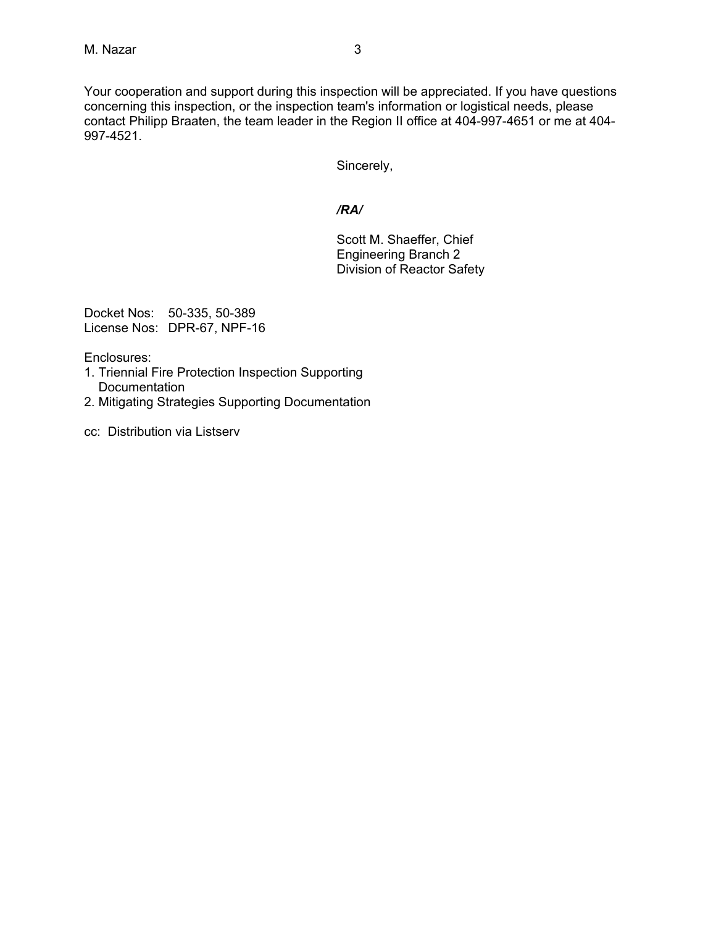Your cooperation and support during this inspection will be appreciated. If you have questions concerning this inspection, or the inspection team's information or logistical needs, please contact Philipp Braaten, the team leader in the Region II office at 404-997-4651 or me at 404- 997-4521.

Sincerely,

# */RA/*

Scott M. Shaeffer, Chief Engineering Branch 2 Division of Reactor Safety

Docket Nos: 50-335, 50-389 License Nos: DPR-67, NPF-16

Enclosures:

- 1. Triennial Fire Protection Inspection Supporting **Documentation**
- 2. Mitigating Strategies Supporting Documentation
- cc: Distribution via Listserv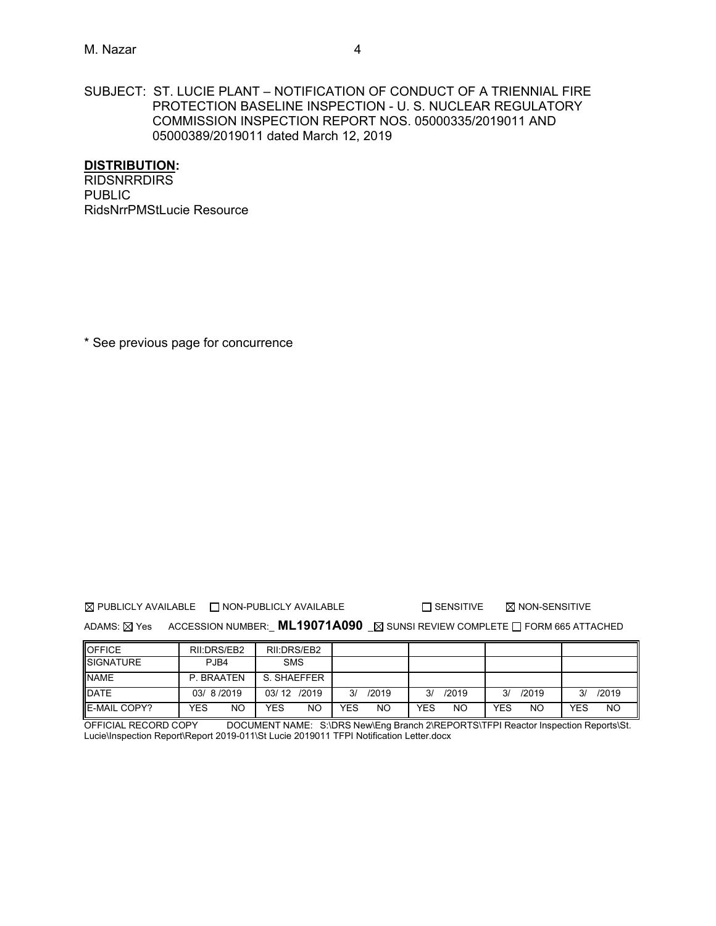#### SUBJECT: ST. LUCIE PLANT – NOTIFICATION OF CONDUCT OF A TRIENNIAL FIRE PROTECTION BASELINE INSPECTION - U. S. NUCLEAR REGULATORY COMMISSION INSPECTION REPORT NOS. 05000335/2019011 AND 05000389/2019011 dated March 12, 2019

#### **DISTRIBUTION:**

RIDSNRRDIRS PUBLIC RidsNrrPMStLucie Resource

\* See previous page for concurrence

 $\boxtimes$  PUBLICLY AVAILABLE  $\Box$  NON-PUBLICLY AVAILABLE  $\Box$  SENSITIVE  $\boxtimes$  NON-SENSITIVE

ADAMS: **X** Yes ACCESSION NUMBER: **ML19071A090 X** SUNSI REVIEW COMPLETE **FORM 665 ATTACHED** 

| <b>OFFICE</b>        | RII:DRS/EB2 | RII:DRS/EB2 |             |                  |             |                         |
|----------------------|-------------|-------------|-------------|------------------|-------------|-------------------------|
| <b>ISIGNATURE</b>    | PJB4        | <b>SMS</b>  |             |                  |             |                         |
| <b>INAME</b>         | P. BRAATEN  | S. SHAEFFER |             |                  |             |                         |
| <b>IDATE</b>         | 03/8/2019   | 03/12 /2019 | /2019<br>3/ | /2019<br>3/      | /2019<br>3/ | /2019<br>3/             |
| <b>IE-MAIL COPY?</b> | YES<br>NO   | YES<br>NO   | YES<br>NO   | YES<br><b>NO</b> | YES<br>NO   | <b>NO</b><br><b>YES</b> |

OFFICIAL RECORD COPY DOCUMENT NAME: S:\DRS New\Eng Branch 2\REPORTS\TFPI Reactor Inspection Reports\St. Lucie\Inspection Report\Report 2019-011\St Lucie 2019011 TFPI Notification Letter.docx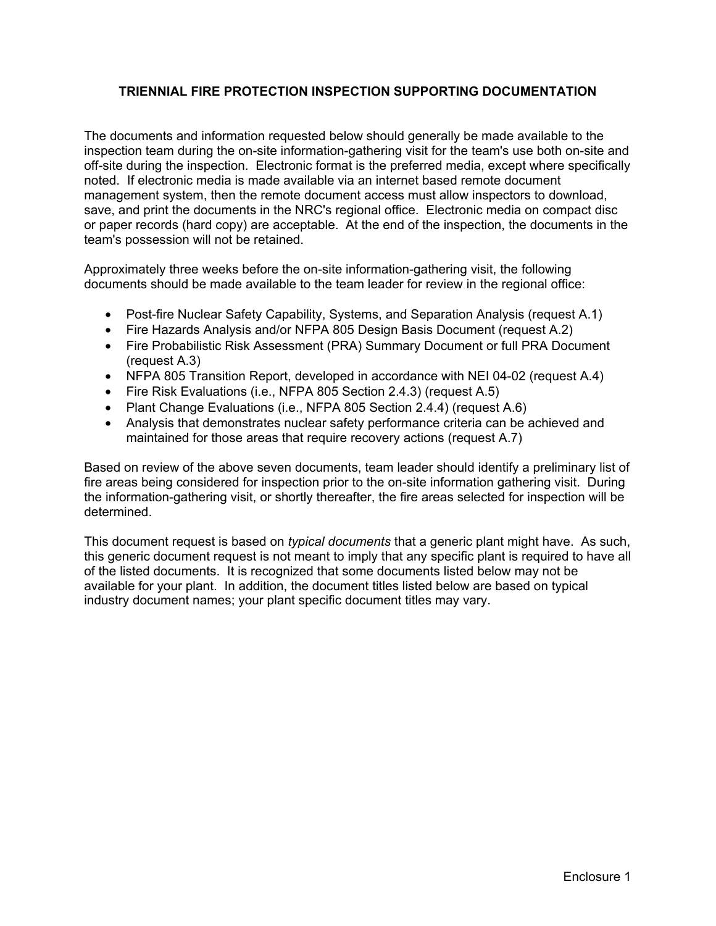# **TRIENNIAL FIRE PROTECTION INSPECTION SUPPORTING DOCUMENTATION**

The documents and information requested below should generally be made available to the inspection team during the on-site information-gathering visit for the team's use both on-site and off-site during the inspection. Electronic format is the preferred media, except where specifically noted. If electronic media is made available via an internet based remote document management system, then the remote document access must allow inspectors to download, save, and print the documents in the NRC's regional office. Electronic media on compact disc or paper records (hard copy) are acceptable. At the end of the inspection, the documents in the team's possession will not be retained.

Approximately three weeks before the on-site information-gathering visit, the following documents should be made available to the team leader for review in the regional office:

- Post-fire Nuclear Safety Capability, Systems, and Separation Analysis (request A.1)
- Fire Hazards Analysis and/or NFPA 805 Design Basis Document (request A.2)
- Fire Probabilistic Risk Assessment (PRA) Summary Document or full PRA Document (request A.3)
- NFPA 805 Transition Report, developed in accordance with NEI 04-02 (request A.4)
- Fire Risk Evaluations (i.e., NFPA 805 Section 2.4.3) (request A.5)
- Plant Change Evaluations (i.e., NFPA 805 Section 2.4.4) (request A.6)
- Analysis that demonstrates nuclear safety performance criteria can be achieved and maintained for those areas that require recovery actions (request A.7)

Based on review of the above seven documents, team leader should identify a preliminary list of fire areas being considered for inspection prior to the on-site information gathering visit. During the information-gathering visit, or shortly thereafter, the fire areas selected for inspection will be determined.

This document request is based on *typical documents* that a generic plant might have. As such, this generic document request is not meant to imply that any specific plant is required to have all of the listed documents. It is recognized that some documents listed below may not be available for your plant. In addition, the document titles listed below are based on typical industry document names; your plant specific document titles may vary.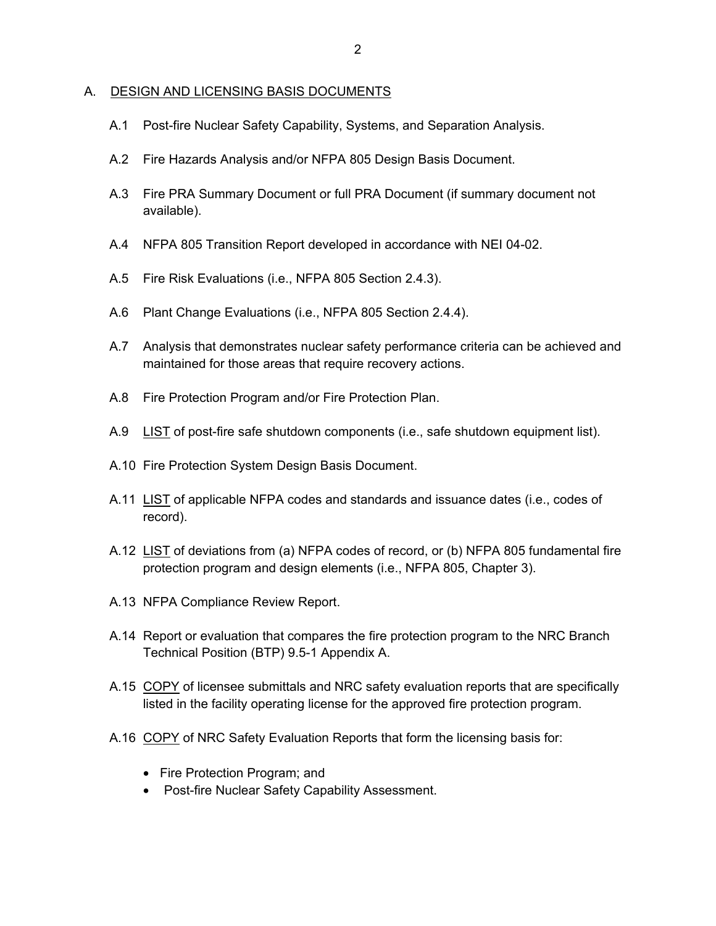#### A. DESIGN AND LICENSING BASIS DOCUMENTS

- A.1 Post-fire Nuclear Safety Capability, Systems, and Separation Analysis.
- A.2 Fire Hazards Analysis and/or NFPA 805 Design Basis Document.
- A.3 Fire PRA Summary Document or full PRA Document (if summary document not available).
- A.4 NFPA 805 Transition Report developed in accordance with NEI 04-02.
- A.5 Fire Risk Evaluations (i.e., NFPA 805 Section 2.4.3).
- A.6 Plant Change Evaluations (i.e., NFPA 805 Section 2.4.4).
- A.7 Analysis that demonstrates nuclear safety performance criteria can be achieved and maintained for those areas that require recovery actions.
- A.8 Fire Protection Program and/or Fire Protection Plan.
- A.9 LIST of post-fire safe shutdown components (i.e., safe shutdown equipment list).
- A.10 Fire Protection System Design Basis Document.
- A.11 LIST of applicable NFPA codes and standards and issuance dates (i.e., codes of record).
- A.12 LIST of deviations from (a) NFPA codes of record, or (b) NFPA 805 fundamental fire protection program and design elements (i.e., NFPA 805, Chapter 3).
- A.13 NFPA Compliance Review Report.
- A.14 Report or evaluation that compares the fire protection program to the NRC Branch Technical Position (BTP) 9.5-1 Appendix A.
- A.15 COPY of licensee submittals and NRC safety evaluation reports that are specifically listed in the facility operating license for the approved fire protection program.
- A.16 COPY of NRC Safety Evaluation Reports that form the licensing basis for:
	- Fire Protection Program; and
	- Post-fire Nuclear Safety Capability Assessment.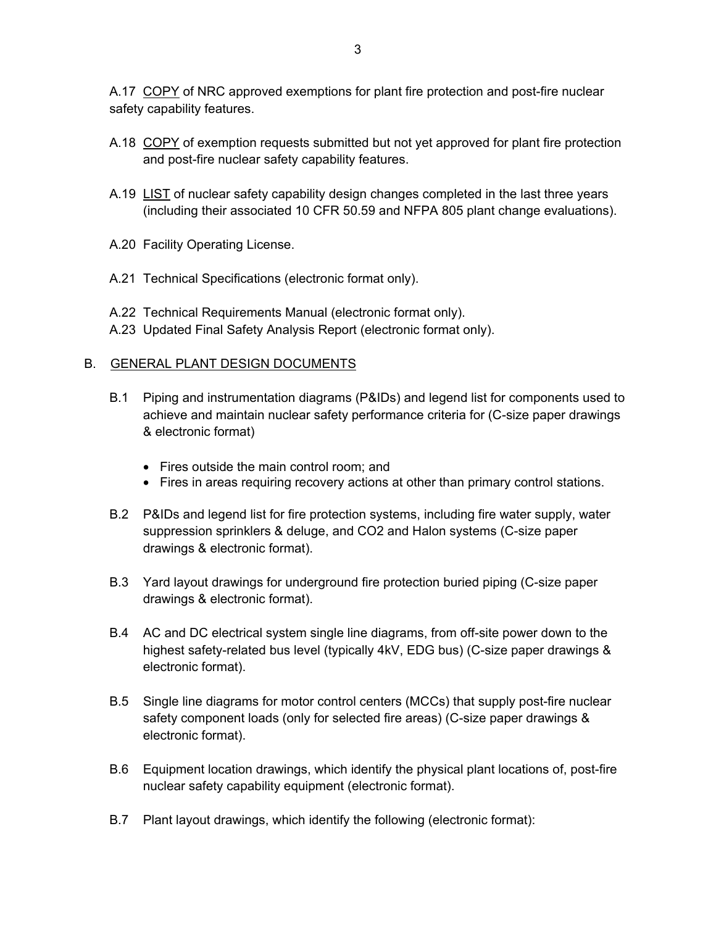A.17 COPY of NRC approved exemptions for plant fire protection and post-fire nuclear safety capability features.

- A.18 COPY of exemption requests submitted but not yet approved for plant fire protection and post-fire nuclear safety capability features.
- A.19 LIST of nuclear safety capability design changes completed in the last three years (including their associated 10 CFR 50.59 and NFPA 805 plant change evaluations).
- A.20 Facility Operating License.
- A.21 Technical Specifications (electronic format only).
- A.22 Technical Requirements Manual (electronic format only).
- A.23 Updated Final Safety Analysis Report (electronic format only).

### B. GENERAL PLANT DESIGN DOCUMENTS

- B.1 Piping and instrumentation diagrams (P&IDs) and legend list for components used to achieve and maintain nuclear safety performance criteria for (C-size paper drawings & electronic format)
	- Fires outside the main control room: and
	- Fires in areas requiring recovery actions at other than primary control stations.
- B.2 P&IDs and legend list for fire protection systems, including fire water supply, water suppression sprinklers & deluge, and CO2 and Halon systems (C-size paper drawings & electronic format).
- B.3 Yard layout drawings for underground fire protection buried piping (C-size paper drawings & electronic format).
- B.4 AC and DC electrical system single line diagrams, from off-site power down to the highest safety-related bus level (typically 4kV, EDG bus) (C-size paper drawings & electronic format).
- B.5 Single line diagrams for motor control centers (MCCs) that supply post-fire nuclear safety component loads (only for selected fire areas) (C-size paper drawings & electronic format).
- B.6 Equipment location drawings, which identify the physical plant locations of, post-fire nuclear safety capability equipment (electronic format).
- B.7 Plant layout drawings, which identify the following (electronic format):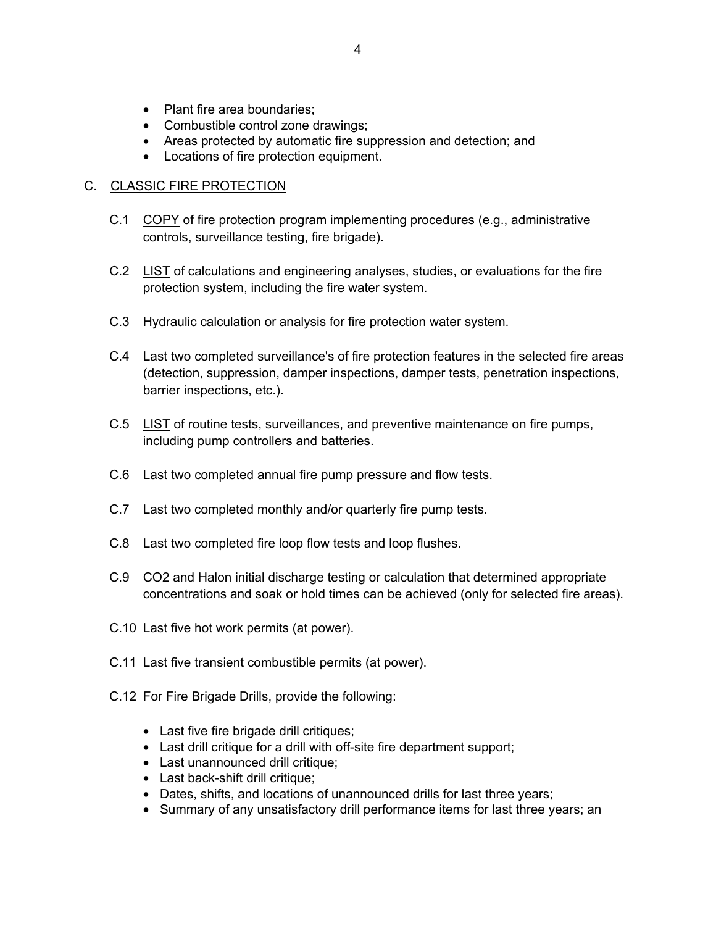- Plant fire area boundaries:
- Combustible control zone drawings;
- Areas protected by automatic fire suppression and detection; and
- Locations of fire protection equipment.

### C. CLASSIC FIRE PROTECTION

- C.1 COPY of fire protection program implementing procedures (e.g., administrative controls, surveillance testing, fire brigade).
- C.2 LIST of calculations and engineering analyses, studies, or evaluations for the fire protection system, including the fire water system.
- C.3 Hydraulic calculation or analysis for fire protection water system.
- C.4 Last two completed surveillance's of fire protection features in the selected fire areas (detection, suppression, damper inspections, damper tests, penetration inspections, barrier inspections, etc.).
- C.5 LIST of routine tests, surveillances, and preventive maintenance on fire pumps, including pump controllers and batteries.
- C.6 Last two completed annual fire pump pressure and flow tests.
- C.7 Last two completed monthly and/or quarterly fire pump tests.
- C.8 Last two completed fire loop flow tests and loop flushes.
- C.9 CO2 and Halon initial discharge testing or calculation that determined appropriate concentrations and soak or hold times can be achieved (only for selected fire areas).
- C.10 Last five hot work permits (at power).
- C.11 Last five transient combustible permits (at power).
- C.12 For Fire Brigade Drills, provide the following:
	- Last five fire brigade drill critiques;
	- Last drill critique for a drill with off-site fire department support;
	- Last unannounced drill critique;
	- Last back-shift drill critique;
	- Dates, shifts, and locations of unannounced drills for last three years;
	- Summary of any unsatisfactory drill performance items for last three years; an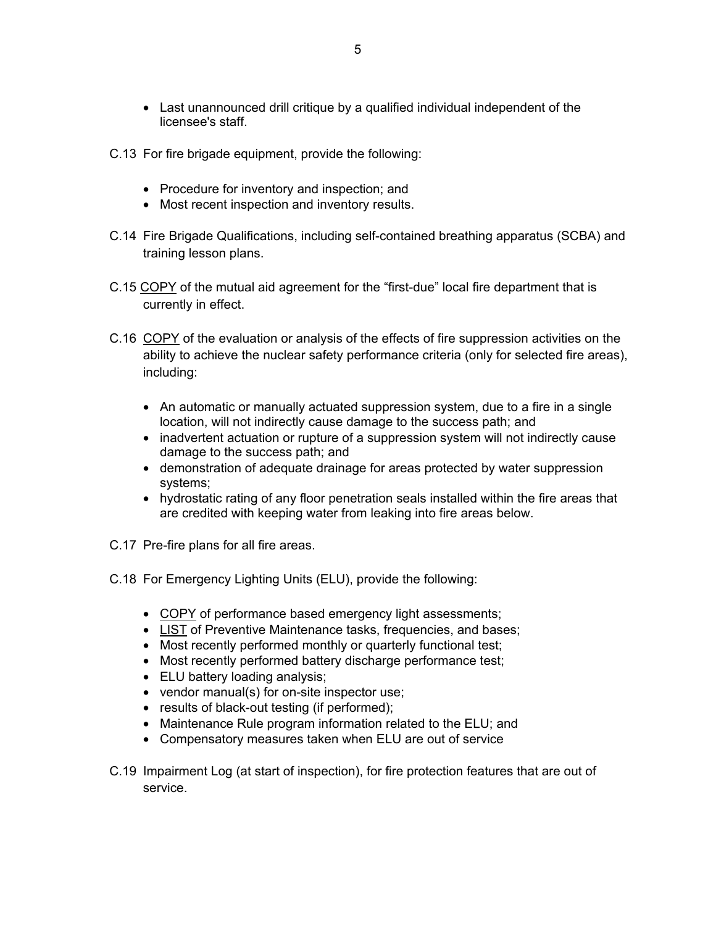- Last unannounced drill critique by a qualified individual independent of the licensee's staff.
- C.13 For fire brigade equipment, provide the following:
	- Procedure for inventory and inspection; and
	- Most recent inspection and inventory results.
- C.14 Fire Brigade Qualifications, including self-contained breathing apparatus (SCBA) and training lesson plans.
- C.15 COPY of the mutual aid agreement for the "first-due" local fire department that is currently in effect.
- C.16 COPY of the evaluation or analysis of the effects of fire suppression activities on the ability to achieve the nuclear safety performance criteria (only for selected fire areas), including:
	- An automatic or manually actuated suppression system, due to a fire in a single location, will not indirectly cause damage to the success path; and
	- inadvertent actuation or rupture of a suppression system will not indirectly cause damage to the success path; and
	- demonstration of adequate drainage for areas protected by water suppression systems;
	- hydrostatic rating of any floor penetration seals installed within the fire areas that are credited with keeping water from leaking into fire areas below.
- C.17 Pre-fire plans for all fire areas.
- C.18 For Emergency Lighting Units (ELU), provide the following:
	- COPY of performance based emergency light assessments;
	- LIST of Preventive Maintenance tasks, frequencies, and bases;
	- Most recently performed monthly or quarterly functional test;
	- Most recently performed battery discharge performance test;
	- ELU battery loading analysis;
	- vendor manual(s) for on-site inspector use;
	- results of black-out testing (if performed);
	- Maintenance Rule program information related to the ELU; and
	- Compensatory measures taken when ELU are out of service
- C.19 Impairment Log (at start of inspection), for fire protection features that are out of service.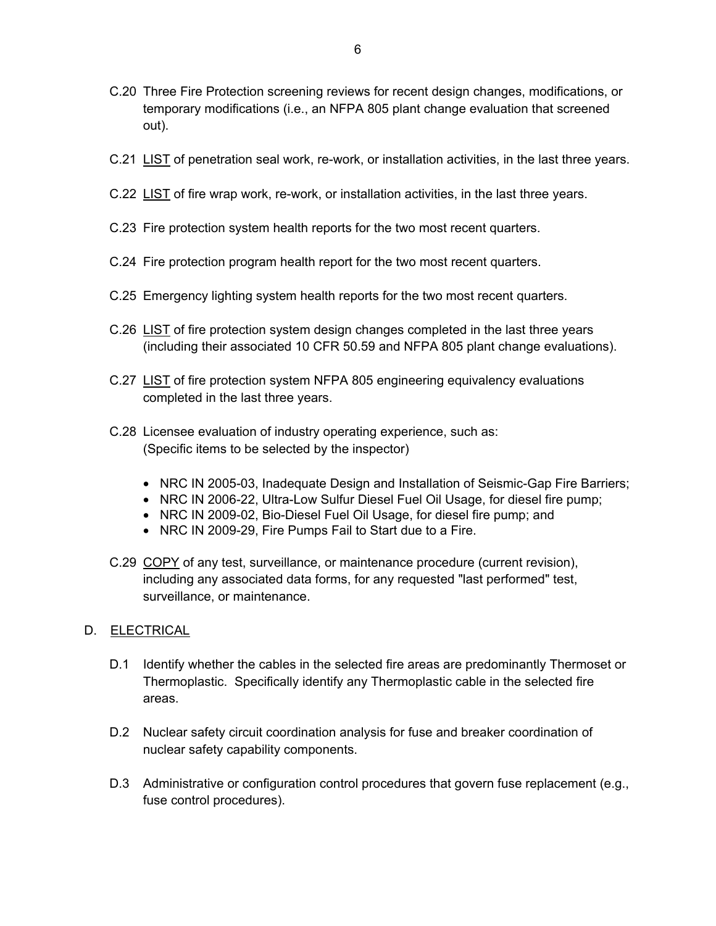- C.20 Three Fire Protection screening reviews for recent design changes, modifications, or temporary modifications (i.e., an NFPA 805 plant change evaluation that screened out).
- C.21 LIST of penetration seal work, re-work, or installation activities, in the last three years.
- C.22 LIST of fire wrap work, re-work, or installation activities, in the last three years.
- C.23 Fire protection system health reports for the two most recent quarters.
- C.24 Fire protection program health report for the two most recent quarters.
- C.25 Emergency lighting system health reports for the two most recent quarters.
- C.26 LIST of fire protection system design changes completed in the last three years (including their associated 10 CFR 50.59 and NFPA 805 plant change evaluations).
- C.27 LIST of fire protection system NFPA 805 engineering equivalency evaluations completed in the last three years.
- C.28 Licensee evaluation of industry operating experience, such as: (Specific items to be selected by the inspector)
	- NRC IN 2005-03, Inadequate Design and Installation of Seismic-Gap Fire Barriers;
	- NRC IN 2006-22, Ultra-Low Sulfur Diesel Fuel Oil Usage, for diesel fire pump;
	- NRC IN 2009-02, Bio-Diesel Fuel Oil Usage, for diesel fire pump; and
	- NRC IN 2009-29, Fire Pumps Fail to Start due to a Fire.
- C.29 COPY of any test, surveillance, or maintenance procedure (current revision), including any associated data forms, for any requested "last performed" test, surveillance, or maintenance.

# D. **ELECTRICAL**

- D.1 Identify whether the cables in the selected fire areas are predominantly Thermoset or Thermoplastic. Specifically identify any Thermoplastic cable in the selected fire areas.
- D.2 Nuclear safety circuit coordination analysis for fuse and breaker coordination of nuclear safety capability components.
- D.3 Administrative or configuration control procedures that govern fuse replacement (e.g., fuse control procedures).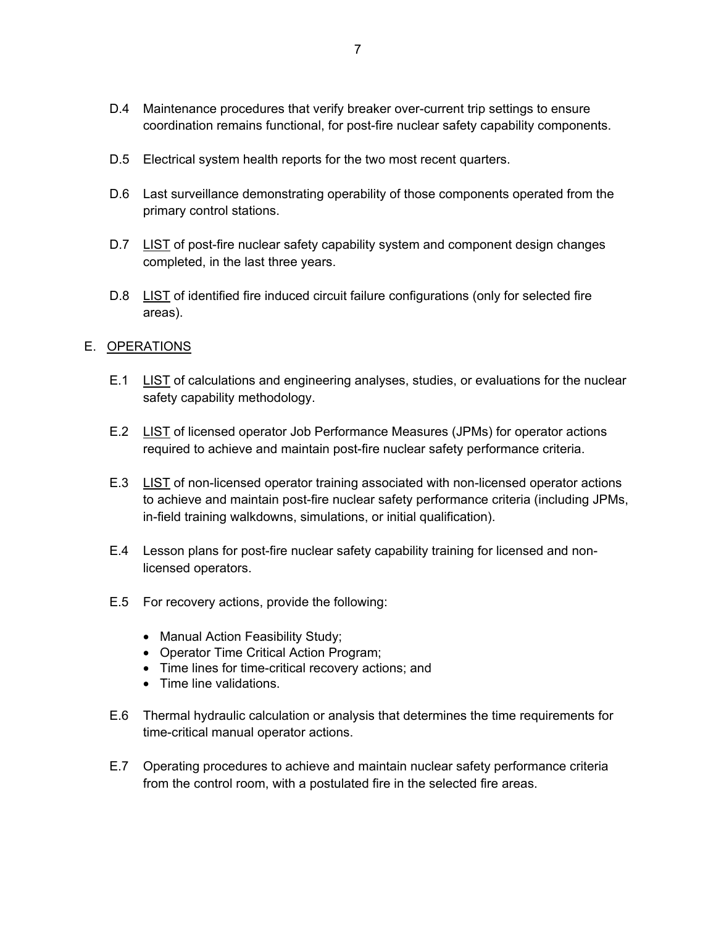- D.4 Maintenance procedures that verify breaker over-current trip settings to ensure coordination remains functional, for post-fire nuclear safety capability components.
- D.5 Electrical system health reports for the two most recent quarters.
- D.6 Last surveillance demonstrating operability of those components operated from the primary control stations.
- D.7 LIST of post-fire nuclear safety capability system and component design changes completed, in the last three years.
- D.8 LIST of identified fire induced circuit failure configurations (only for selected fire areas).

### E. OPERATIONS

- E.1 LIST of calculations and engineering analyses, studies, or evaluations for the nuclear safety capability methodology.
- E.2 LIST of licensed operator Job Performance Measures (JPMs) for operator actions required to achieve and maintain post-fire nuclear safety performance criteria.
- E.3 LIST of non-licensed operator training associated with non-licensed operator actions to achieve and maintain post-fire nuclear safety performance criteria (including JPMs, in-field training walkdowns, simulations, or initial qualification).
- E.4 Lesson plans for post-fire nuclear safety capability training for licensed and nonlicensed operators.
- E.5 For recovery actions, provide the following:
	- Manual Action Feasibility Study;
	- Operator Time Critical Action Program;
	- Time lines for time-critical recovery actions; and
	- Time line validations.
- E.6 Thermal hydraulic calculation or analysis that determines the time requirements for time-critical manual operator actions.
- E.7 Operating procedures to achieve and maintain nuclear safety performance criteria from the control room, with a postulated fire in the selected fire areas.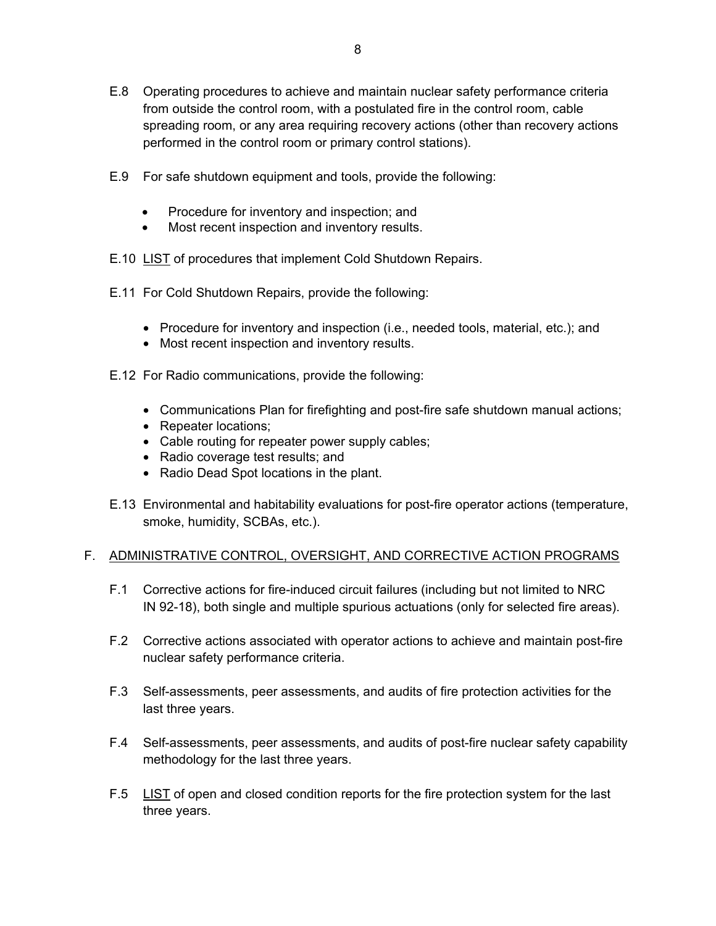- E.8 Operating procedures to achieve and maintain nuclear safety performance criteria from outside the control room, with a postulated fire in the control room, cable spreading room, or any area requiring recovery actions (other than recovery actions performed in the control room or primary control stations).
- E.9 For safe shutdown equipment and tools, provide the following:
	- Procedure for inventory and inspection; and
	- Most recent inspection and inventory results.
- E.10 LIST of procedures that implement Cold Shutdown Repairs.
- E.11 For Cold Shutdown Repairs, provide the following:
	- Procedure for inventory and inspection (i.e., needed tools, material, etc.); and
	- Most recent inspection and inventory results.
- E.12 For Radio communications, provide the following:
	- Communications Plan for firefighting and post-fire safe shutdown manual actions;
	- Repeater locations;
	- Cable routing for repeater power supply cables;
	- Radio coverage test results; and
	- Radio Dead Spot locations in the plant.
- E.13 Environmental and habitability evaluations for post-fire operator actions (temperature, smoke, humidity, SCBAs, etc.).

### F. ADMINISTRATIVE CONTROL, OVERSIGHT, AND CORRECTIVE ACTION PROGRAMS

- F.1 Corrective actions for fire-induced circuit failures (including but not limited to NRC IN 92-18), both single and multiple spurious actuations (only for selected fire areas).
- F.2 Corrective actions associated with operator actions to achieve and maintain post-fire nuclear safety performance criteria.
- F.3 Self-assessments, peer assessments, and audits of fire protection activities for the last three years.
- F.4 Self-assessments, peer assessments, and audits of post-fire nuclear safety capability methodology for the last three years.
- F.5 LIST of open and closed condition reports for the fire protection system for the last three years.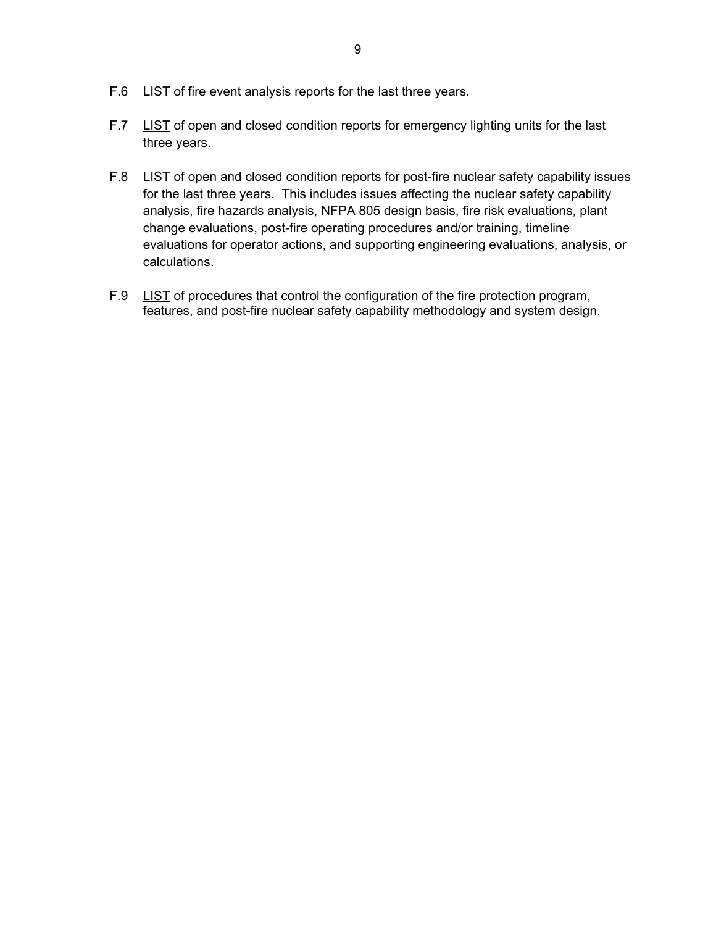- F.6 LIST of fire event analysis reports for the last three years.
- F.7 LIST of open and closed condition reports for emergency lighting units for the last three years.
- F.8 LIST of open and closed condition reports for post-fire nuclear safety capability issues for the last three years. This includes issues affecting the nuclear safety capability analysis, fire hazards analysis, NFPA 805 design basis, fire risk evaluations, plant change evaluations, post-fire operating procedures and/or training, timeline evaluations for operator actions, and supporting engineering evaluations, analysis, or calculations.
- F.9 LIST of procedures that control the configuration of the fire protection program, features, and post-fire nuclear safety capability methodology and system design.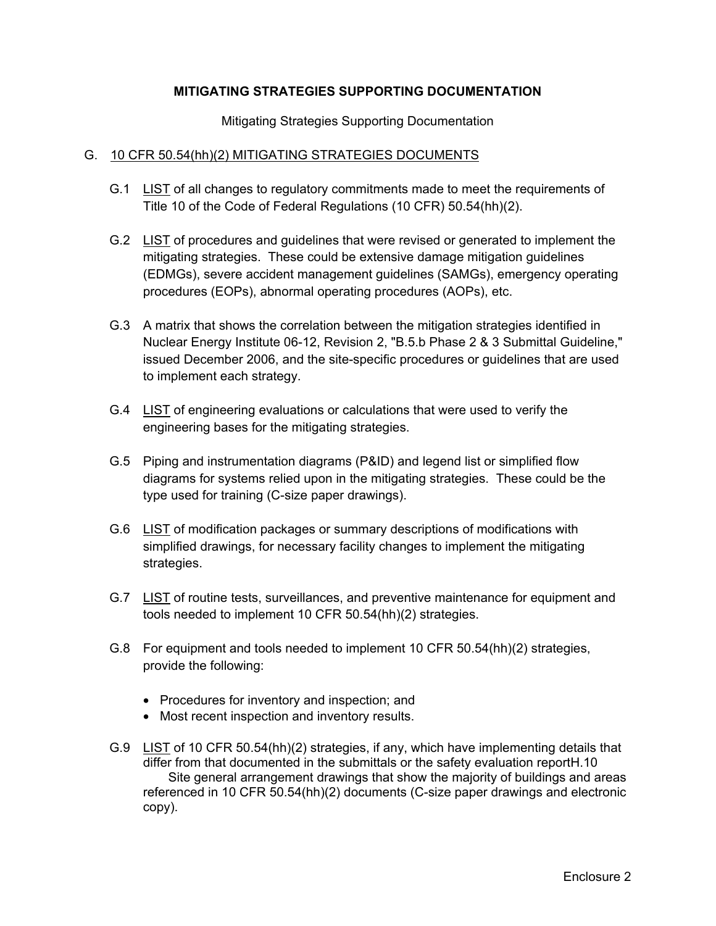# **MITIGATING STRATEGIES SUPPORTING DOCUMENTATION**

Mitigating Strategies Supporting Documentation

#### G. 10 CFR 50.54(hh)(2) MITIGATING STRATEGIES DOCUMENTS

- G.1 LIST of all changes to regulatory commitments made to meet the requirements of Title 10 of the Code of Federal Regulations (10 CFR) 50.54(hh)(2).
- G.2 LIST of procedures and guidelines that were revised or generated to implement the mitigating strategies. These could be extensive damage mitigation guidelines (EDMGs), severe accident management guidelines (SAMGs), emergency operating procedures (EOPs), abnormal operating procedures (AOPs), etc.
- G.3 A matrix that shows the correlation between the mitigation strategies identified in Nuclear Energy Institute 06-12, Revision 2, "B.5.b Phase 2 & 3 Submittal Guideline," issued December 2006, and the site-specific procedures or guidelines that are used to implement each strategy.
- G.4 LIST of engineering evaluations or calculations that were used to verify the engineering bases for the mitigating strategies.
- G.5 Piping and instrumentation diagrams (P&ID) and legend list or simplified flow diagrams for systems relied upon in the mitigating strategies. These could be the type used for training (C-size paper drawings).
- G.6 LIST of modification packages or summary descriptions of modifications with simplified drawings, for necessary facility changes to implement the mitigating strategies.
- G.7 LIST of routine tests, surveillances, and preventive maintenance for equipment and tools needed to implement 10 CFR 50.54(hh)(2) strategies.
- G.8 For equipment and tools needed to implement 10 CFR 50.54(hh)(2) strategies, provide the following:
	- Procedures for inventory and inspection; and
	- Most recent inspection and inventory results.
- G.9 LIST of 10 CFR 50.54(hh)(2) strategies, if any, which have implementing details that differ from that documented in the submittals or the safety evaluation reportH.10 Site general arrangement drawings that show the majority of buildings and areas referenced in 10 CFR 50.54(hh)(2) documents (C-size paper drawings and electronic copy).